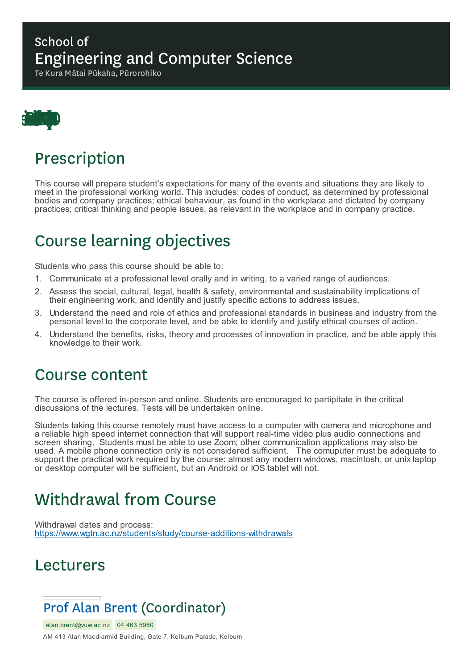#### School of Engineering and Computer Science

Te Kura Mātai Pūkaha, Pūrorohiko



### Prescription

This course will prepare student's expectations for many of the events and situations they are likely to meet in the professional working world. This includes: codes of conduct, as determined by professional bodies and company practices; ethical behaviour, as found in the workplace and dictated by company practices; critical thinking and people issues, as relevant in the workplace and in company practice.

# Course learning objectives

Students who pass this course should be able to:

- 1. Communicate at a professional level orally and in writing, to a varied range of audiences.
- 2. Assess the social, cultural, legal, health & safety, environmental and sustainability implications of their engineering work, and identify and justify specific actions to address issues.
- 3. Understand the need and role of ethics and professional standards in business and industry from the personal level to the corporate level, and be able to identify and justify ethical courses of action.
- 4. Understand the benefits, risks, theory and processes of innovation in practice, and be able apply this knowledge to their work.

#### Course content

The course is offered in-person and online. Students are encouraged to partipitate in the critical discussions of the lectures. Tests will be undertaken online.

Students taking this course remotely must have access to a computer with camera and microphone and a reliable high speed internet connection that will support real-time video plus audio connections and screen sharing. Students must be able to use Zoom; other communication applications may also be used. A mobile phone connection only is not considered sufficient. The comuputer must be adequate to support the practical work required by the course: almost any modern windows, macintosh, or unix laptop or desktop computer will be sufficient, but an Android or IOS tablet will not.

# Withdrawal from Course

Withdrawal dates and process: https://www.wgtn.ac.nz/students/study/course-additions-withdrawals

#### Lecturers

#### Prof Alan Brent (Coordinator)

alan.brent@vuw.ac.nz 04 463 5960

AM 413 Alan Macdiarmid Building, Gate 7, Kelburn Parade, Kelburn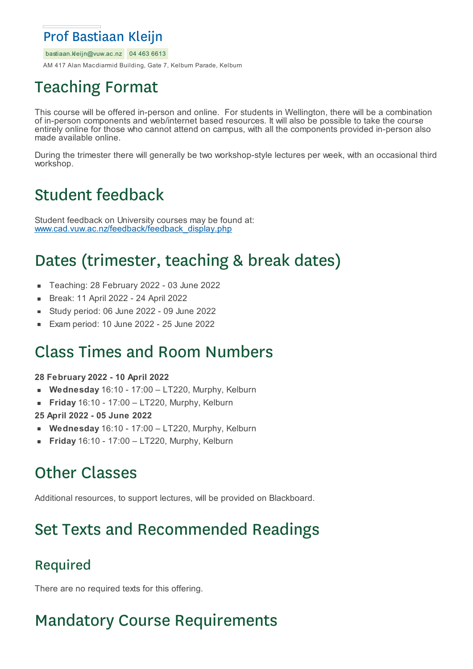#### Prof Bastiaan Kleijn

bastiaan.kleijn@vuw.ac.nz 04 463 6613

AM 417 Alan Macdiarmid Building, Gate 7, Kelburn Parade, Kelburn

# Teaching Format

This course will be offered in-person and online. For students in Wellington, there will be a combination of in-person components and web/internet based resources. It will also be possible to take the course entirely online for those who cannot attend on campus, with all the components provided in-person also made available online.

During the trimester there will generally be two workshop-style lectures per week, with an occasional third workshop.

# Student feedback

Student feedback on University courses may be found at: www.cad.vuw.ac.nz/feedback/feedback\_display.php

# Dates (trimester, teaching & break dates)

- Teaching: 28 February 2022 03 June 2022  $\blacksquare$
- Break: 11 April 2022 24 April 2022
- Study period: 06 June 2022 09 June 2022 ×
- Exam period: 10 June 2022 25 June 2022

#### Class Times and Room Numbers

#### **28 February 2022 - 10 April 2022**

- **Wednesday** 16:10 17:00 LT220, Murphy, Kelburn
- **Friday** 16:10 17:00 LT220, Murphy, Kelburn  $\blacksquare$
- **25 April 2022 - 05 June 2022**
- **Wednesday** 16:10 17:00 LT220, Murphy, Kelburn
- **Friday** 16:10 17:00 LT220, Murphy, Kelburn

# Other Classes

Additional resources, to support lectures, will be provided on Blackboard.

# Set Texts and Recommended Readings

#### Required

There are no required texts for this offering.

### Mandatory Course Requirements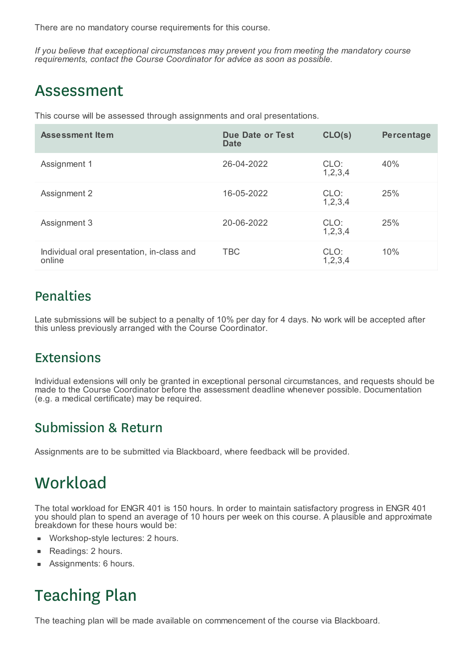There are no mandatory course requirements for this course.

*If you believe that exceptional circumstances may prevent you from meeting the mandatory course requirements, contact the Course Coordinator for advice as soon as possible.*

#### Assessment

This course will be assessed through assignments and oral presentations.

| <b>Assessment Item</b>                               | <b>Due Date or Test</b><br>Date | CLO(s)             | Percentage |
|------------------------------------------------------|---------------------------------|--------------------|------------|
| Assignment 1                                         | 26-04-2022                      | CLO:<br>1,2,3,4    | 40%        |
| Assignment 2                                         | 16-05-2022                      | CLO:<br>1,2,3,4    | 25%        |
| Assignment 3                                         | 20-06-2022                      | CLO:<br>1,2,3,4    | 25%        |
| Individual oral presentation, in-class and<br>online | <b>TBC</b>                      | CLO:<br>1, 2, 3, 4 | 10%        |

#### Penalties

Late submissions will be subject to a penalty of 10% per day for 4 days. No work will be accepted after this unless previously arranged with the Course Coordinator.

#### Extensions

Individual extensions will only be granted in exceptional personal circumstances, and requests should be made to the Course Coordinator before the assessment deadline whenever possible. Documentation (e.g. a medical certificate) may be required.

#### Submission & Return

Assignments are to be submitted via Blackboard, where feedback will be provided.

### **Workload**

The total workload for ENGR 401 is 150 hours. In order to maintain satisfactory progress in ENGR 401 you should plan to spend an average of 10 hours per week on this course. A plausible and approximate breakdown for these hours would be:

- Workshop-style lectures: 2 hours.  $\blacksquare$
- Readings: 2 hours.
- Assignments: 6 hours.

# Teaching Plan

The teaching plan will be made available on commencement of the course via Blackboard.